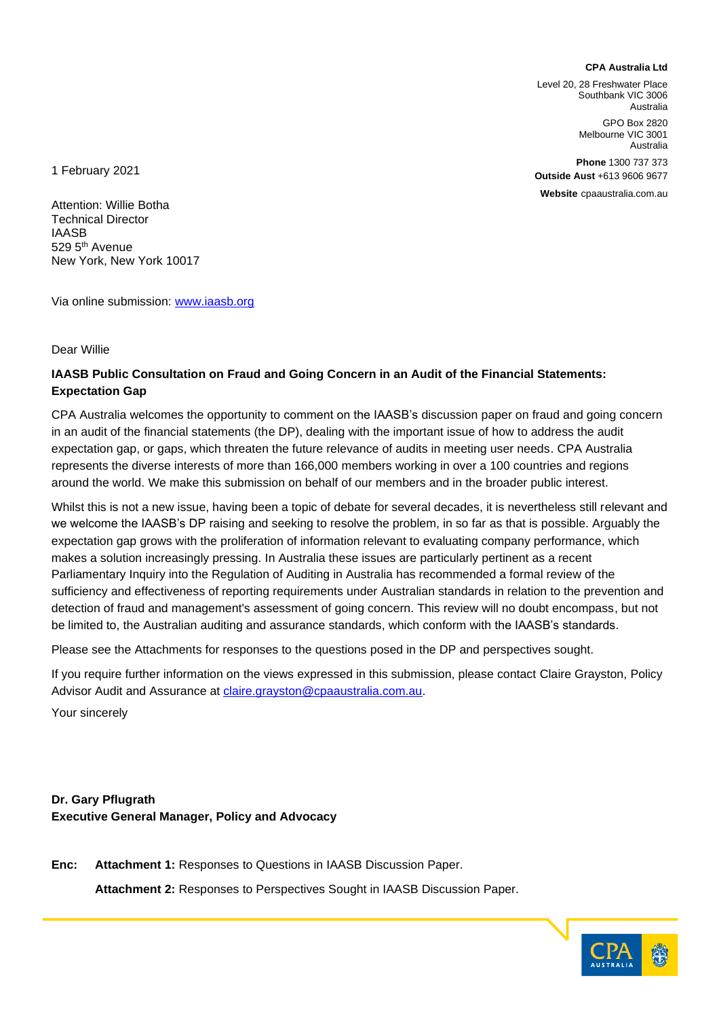#### **CPA Australia Ltd**

Level 20, 28 Freshwater Place Southbank VIC 3006 Australia

> GPO Box 2820 Melbourne VIC 3001 Australia

**Phone** 1300 737 373 **Outside Aust** +613 9606 9677

**Website** cpaaustralia.com.au

1 February 2021

Attention: Willie Botha Technical Director IAASB 529 5<sup>th</sup> Avenue New York, New York 10017

Via online submission: [www.iaasb.org](http://www.iaasb.org/)

#### Dear Willie

#### **IAASB Public Consultation on Fraud and Going Concern in an Audit of the Financial Statements: Expectation Gap**

CPA Australia welcomes the opportunity to comment on the IAASB's discussion paper on fraud and going concern in an audit of the financial statements (the DP), dealing with the important issue of how to address the audit expectation gap, or gaps, which threaten the future relevance of audits in meeting user needs. CPA Australia represents the diverse interests of more than 166,000 members working in over a 100 countries and regions around the world. We make this submission on behalf of our members and in the broader public interest.

Whilst this is not a new issue, having been a topic of debate for several decades, it is nevertheless still relevant and we welcome the IAASB's DP raising and seeking to resolve the problem, in so far as that is possible. Arguably the expectation gap grows with the proliferation of information relevant to evaluating company performance, which makes a solution increasingly pressing. In Australia these issues are particularly pertinent as a recent Parliamentary Inquiry into the Regulation of Auditing in Australia has recommended a formal review of the sufficiency and effectiveness of reporting requirements under Australian standards in relation to the prevention and detection of fraud and management's assessment of going concern. This review will no doubt encompass, but not be limited to, the Australian auditing and assurance standards, which conform with the IAASB's standards.

Please see the Attachments for responses to the questions posed in the DP and perspectives sought.

If you require further information on the views expressed in this submission, please contact Claire Grayston, Policy Advisor Audit and Assurance at *claire.grayston@cpaaustralia.com.au.* 

Your sincerely

**Dr. Gary Pflugrath Executive General Manager, Policy and Advocacy**

**Enc: Attachment 1:** Responses to Questions in IAASB Discussion Paper.

**Attachment 2:** Responses to Perspectives Sought in IAASB Discussion Paper.

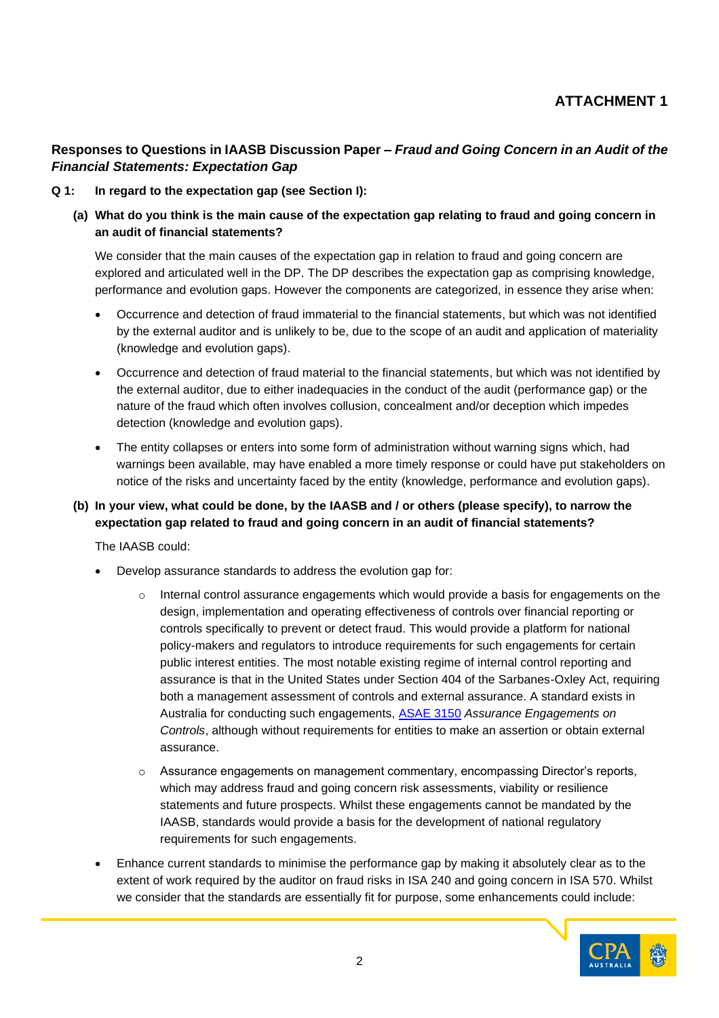# **Responses to Questions in IAASB Discussion Paper –** *Fraud and Going Concern in an Audit of the Financial Statements: Expectation Gap*

#### **Q 1: In regard to the expectation gap (see Section I):**

**(a) What do you think is the main cause of the expectation gap relating to fraud and going concern in an audit of financial statements?** 

We consider that the main causes of the expectation gap in relation to fraud and going concern are explored and articulated well in the DP. The DP describes the expectation gap as comprising knowledge, performance and evolution gaps. However the components are categorized, in essence they arise when:

- Occurrence and detection of fraud immaterial to the financial statements, but which was not identified by the external auditor and is unlikely to be, due to the scope of an audit and application of materiality (knowledge and evolution gaps).
- Occurrence and detection of fraud material to the financial statements, but which was not identified by the external auditor, due to either inadequacies in the conduct of the audit (performance gap) or the nature of the fraud which often involves collusion, concealment and/or deception which impedes detection (knowledge and evolution gaps).
- The entity collapses or enters into some form of administration without warning signs which, had warnings been available, may have enabled a more timely response or could have put stakeholders on notice of the risks and uncertainty faced by the entity (knowledge, performance and evolution gaps).

## **(b) In your view, what could be done, by the IAASB and / or others (please specify), to narrow the expectation gap related to fraud and going concern in an audit of financial statements?**

The IAASB could:

- Develop assurance standards to address the evolution gap for:
	- $\circ$  Internal control assurance engagements which would provide a basis for engagements on the design, implementation and operating effectiveness of controls over financial reporting or controls specifically to prevent or detect fraud. This would provide a platform for national policy-makers and regulators to introduce requirements for such engagements for certain public interest entities. The most notable existing regime of internal control reporting and assurance is that in the United States under Section 404 of the Sarbanes-Oxley Act, requiring both a management assessment of controls and external assurance. A standard exists in Australia for conducting such engagements, [ASAE 3150](http://www.auasb.gov.au/admin/file/content102/c3/Jan15_ASAE_3150_Assurance_Engagements_on_Controls.pdf) *Assurance Engagements on Controls*, although without requirements for entities to make an assertion or obtain external assurance.
	- o Assurance engagements on management commentary, encompassing Director's reports, which may address fraud and going concern risk assessments, viability or resilience statements and future prospects. Whilst these engagements cannot be mandated by the IAASB, standards would provide a basis for the development of national regulatory requirements for such engagements.
- Enhance current standards to minimise the performance gap by making it absolutely clear as to the extent of work required by the auditor on fraud risks in ISA 240 and going concern in ISA 570. Whilst we consider that the standards are essentially fit for purpose, some enhancements could include:

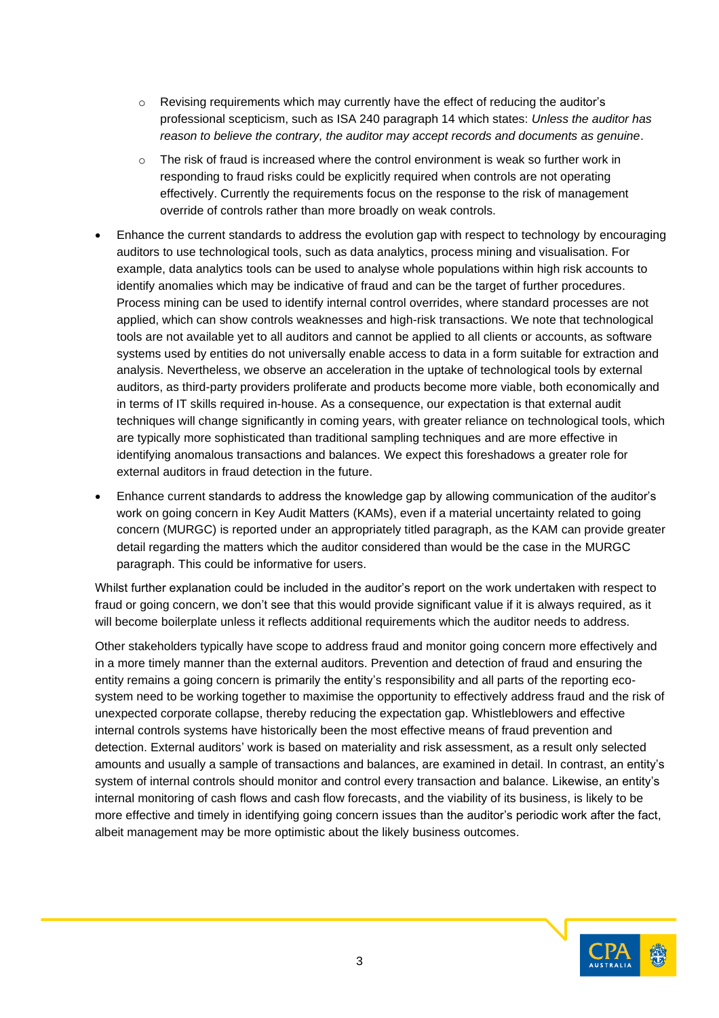- $\circ$  Revising requirements which may currently have the effect of reducing the auditor's professional scepticism, such as ISA 240 paragraph 14 which states: *Unless the auditor has reason to believe the contrary, the auditor may accept records and documents as genuine*.
- $\circ$  The risk of fraud is increased where the control environment is weak so further work in responding to fraud risks could be explicitly required when controls are not operating effectively. Currently the requirements focus on the response to the risk of management override of controls rather than more broadly on weak controls.
- Enhance the current standards to address the evolution gap with respect to technology by encouraging auditors to use technological tools, such as data analytics, process mining and visualisation. For example, data analytics tools can be used to analyse whole populations within high risk accounts to identify anomalies which may be indicative of fraud and can be the target of further procedures. Process mining can be used to identify internal control overrides, where standard processes are not applied, which can show controls weaknesses and high-risk transactions. We note that technological tools are not available yet to all auditors and cannot be applied to all clients or accounts, as software systems used by entities do not universally enable access to data in a form suitable for extraction and analysis. Nevertheless, we observe an acceleration in the uptake of technological tools by external auditors, as third-party providers proliferate and products become more viable, both economically and in terms of IT skills required in-house. As a consequence, our expectation is that external audit techniques will change significantly in coming years, with greater reliance on technological tools, which are typically more sophisticated than traditional sampling techniques and are more effective in identifying anomalous transactions and balances. We expect this foreshadows a greater role for external auditors in fraud detection in the future.
- Enhance current standards to address the knowledge gap by allowing communication of the auditor's work on going concern in Key Audit Matters (KAMs), even if a material uncertainty related to going concern (MURGC) is reported under an appropriately titled paragraph, as the KAM can provide greater detail regarding the matters which the auditor considered than would be the case in the MURGC paragraph. This could be informative for users.

Whilst further explanation could be included in the auditor's report on the work undertaken with respect to fraud or going concern, we don't see that this would provide significant value if it is always required, as it will become boilerplate unless it reflects additional requirements which the auditor needs to address.

Other stakeholders typically have scope to address fraud and monitor going concern more effectively and in a more timely manner than the external auditors. Prevention and detection of fraud and ensuring the entity remains a going concern is primarily the entity's responsibility and all parts of the reporting ecosystem need to be working together to maximise the opportunity to effectively address fraud and the risk of unexpected corporate collapse, thereby reducing the expectation gap. Whistleblowers and effective internal controls systems have historically been the most effective means of fraud prevention and detection. External auditors' work is based on materiality and risk assessment, as a result only selected amounts and usually a sample of transactions and balances, are examined in detail. In contrast, an entity's system of internal controls should monitor and control every transaction and balance. Likewise, an entity's internal monitoring of cash flows and cash flow forecasts, and the viability of its business, is likely to be more effective and timely in identifying going concern issues than the auditor's periodic work after the fact, albeit management may be more optimistic about the likely business outcomes.

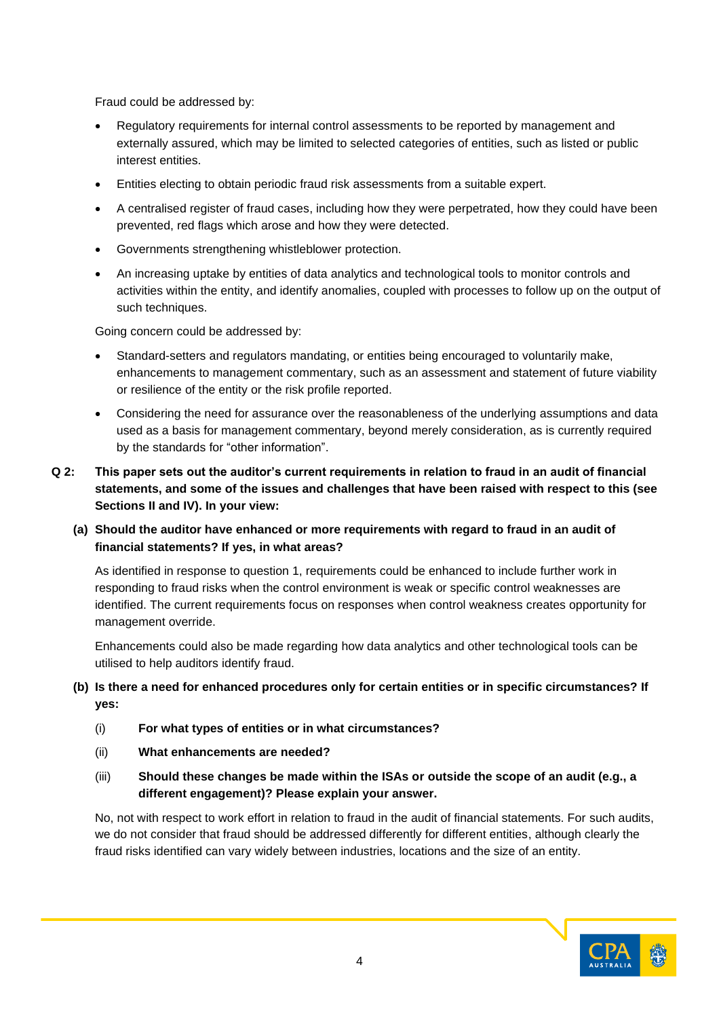Fraud could be addressed by:

- Regulatory requirements for internal control assessments to be reported by management and externally assured, which may be limited to selected categories of entities, such as listed or public interest entities.
- Entities electing to obtain periodic fraud risk assessments from a suitable expert.
- A centralised register of fraud cases, including how they were perpetrated, how they could have been prevented, red flags which arose and how they were detected.
- Governments strengthening whistleblower protection.
- An increasing uptake by entities of data analytics and technological tools to monitor controls and activities within the entity, and identify anomalies, coupled with processes to follow up on the output of such techniques.

Going concern could be addressed by:

- Standard-setters and regulators mandating, or entities being encouraged to voluntarily make, enhancements to management commentary, such as an assessment and statement of future viability or resilience of the entity or the risk profile reported.
- Considering the need for assurance over the reasonableness of the underlying assumptions and data used as a basis for management commentary, beyond merely consideration, as is currently required by the standards for "other information".
- **Q 2: This paper sets out the auditor's current requirements in relation to fraud in an audit of financial statements, and some of the issues and challenges that have been raised with respect to this (see Sections II and IV). In your view:**

#### **(a) Should the auditor have enhanced or more requirements with regard to fraud in an audit of financial statements? If yes, in what areas?**

As identified in response to question 1, requirements could be enhanced to include further work in responding to fraud risks when the control environment is weak or specific control weaknesses are identified. The current requirements focus on responses when control weakness creates opportunity for management override.

Enhancements could also be made regarding how data analytics and other technological tools can be utilised to help auditors identify fraud.

## **(b) Is there a need for enhanced procedures only for certain entities or in specific circumstances? If yes:**

- (i) **For what types of entities or in what circumstances?**
- (ii) **What enhancements are needed?**
- (iii) **Should these changes be made within the ISAs or outside the scope of an audit (e.g., a different engagement)? Please explain your answer.**

No, not with respect to work effort in relation to fraud in the audit of financial statements. For such audits, we do not consider that fraud should be addressed differently for different entities, although clearly the fraud risks identified can vary widely between industries, locations and the size of an entity.

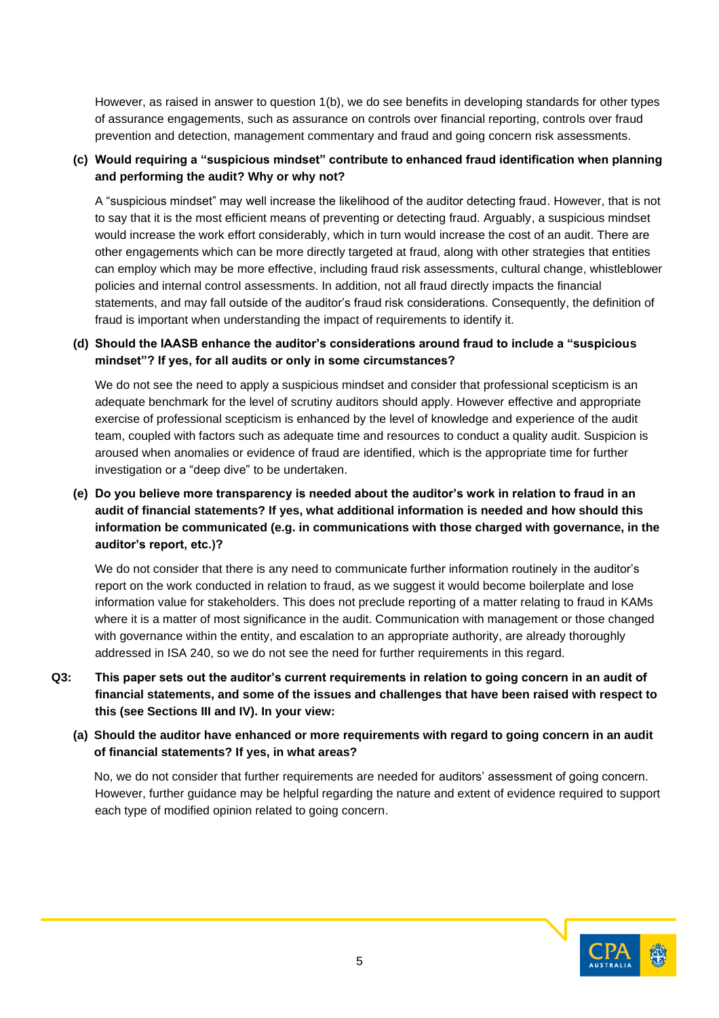However, as raised in answer to question 1(b), we do see benefits in developing standards for other types of assurance engagements, such as assurance on controls over financial reporting, controls over fraud prevention and detection, management commentary and fraud and going concern risk assessments.

#### **(c) Would requiring a "suspicious mindset" contribute to enhanced fraud identification when planning and performing the audit? Why or why not?**

A "suspicious mindset" may well increase the likelihood of the auditor detecting fraud. However, that is not to say that it is the most efficient means of preventing or detecting fraud. Arguably, a suspicious mindset would increase the work effort considerably, which in turn would increase the cost of an audit. There are other engagements which can be more directly targeted at fraud, along with other strategies that entities can employ which may be more effective, including fraud risk assessments, cultural change, whistleblower policies and internal control assessments. In addition, not all fraud directly impacts the financial statements, and may fall outside of the auditor's fraud risk considerations. Consequently, the definition of fraud is important when understanding the impact of requirements to identify it.

#### **(d) Should the IAASB enhance the auditor's considerations around fraud to include a "suspicious mindset"? If yes, for all audits or only in some circumstances?**

We do not see the need to apply a suspicious mindset and consider that professional scepticism is an adequate benchmark for the level of scrutiny auditors should apply. However effective and appropriate exercise of professional scepticism is enhanced by the level of knowledge and experience of the audit team, coupled with factors such as adequate time and resources to conduct a quality audit. Suspicion is aroused when anomalies or evidence of fraud are identified, which is the appropriate time for further investigation or a "deep dive" to be undertaken.

**(e) Do you believe more transparency is needed about the auditor's work in relation to fraud in an audit of financial statements? If yes, what additional information is needed and how should this information be communicated (e.g. in communications with those charged with governance, in the auditor's report, etc.)?**

We do not consider that there is any need to communicate further information routinely in the auditor's report on the work conducted in relation to fraud, as we suggest it would become boilerplate and lose information value for stakeholders. This does not preclude reporting of a matter relating to fraud in KAMs where it is a matter of most significance in the audit. Communication with management or those changed with governance within the entity, and escalation to an appropriate authority, are already thoroughly addressed in ISA 240, so we do not see the need for further requirements in this regard.

- **Q3: This paper sets out the auditor's current requirements in relation to going concern in an audit of financial statements, and some of the issues and challenges that have been raised with respect to this (see Sections III and IV). In your view:**
	- **(a) Should the auditor have enhanced or more requirements with regard to going concern in an audit of financial statements? If yes, in what areas?**

No, we do not consider that further requirements are needed for auditors' assessment of going concern. However, further guidance may be helpful regarding the nature and extent of evidence required to support each type of modified opinion related to going concern.

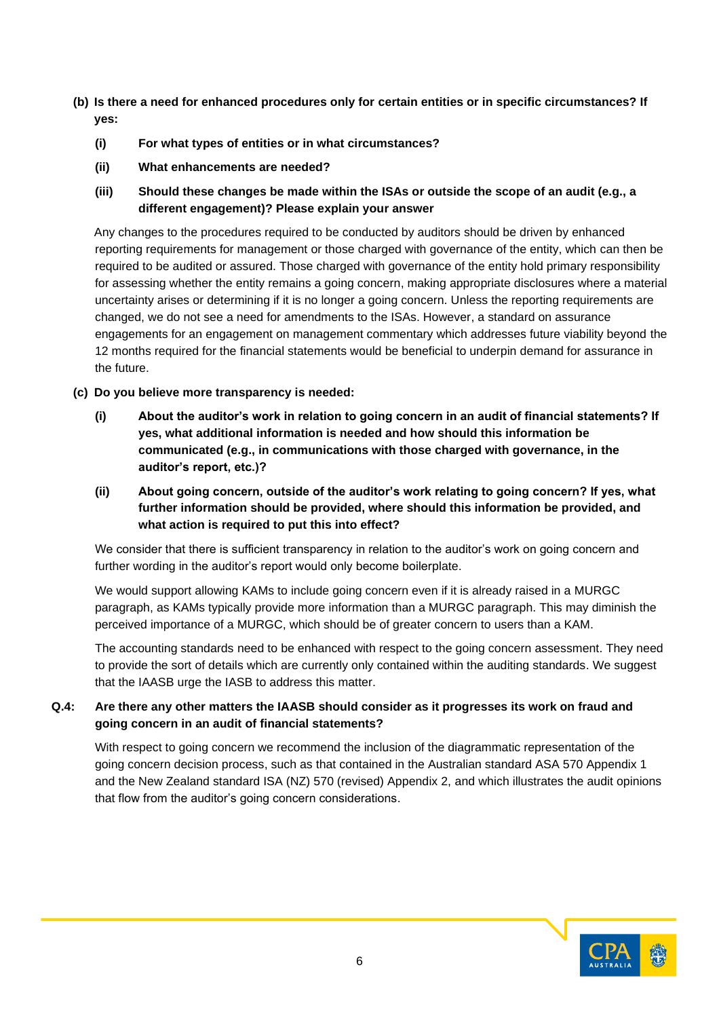- **(b) Is there a need for enhanced procedures only for certain entities or in specific circumstances? If yes:**
	- **(i) For what types of entities or in what circumstances?**
	- **(ii) What enhancements are needed?**
	- **(iii) Should these changes be made within the ISAs or outside the scope of an audit (e.g., a different engagement)? Please explain your answer**

Any changes to the procedures required to be conducted by auditors should be driven by enhanced reporting requirements for management or those charged with governance of the entity, which can then be required to be audited or assured. Those charged with governance of the entity hold primary responsibility for assessing whether the entity remains a going concern, making appropriate disclosures where a material uncertainty arises or determining if it is no longer a going concern. Unless the reporting requirements are changed, we do not see a need for amendments to the ISAs. However, a standard on assurance engagements for an engagement on management commentary which addresses future viability beyond the 12 months required for the financial statements would be beneficial to underpin demand for assurance in the future.

- **(c) Do you believe more transparency is needed:**
	- **(i) About the auditor's work in relation to going concern in an audit of financial statements? If yes, what additional information is needed and how should this information be communicated (e.g., in communications with those charged with governance, in the auditor's report, etc.)?**
	- **(ii) About going concern, outside of the auditor's work relating to going concern? If yes, what further information should be provided, where should this information be provided, and what action is required to put this into effect?**

We consider that there is sufficient transparency in relation to the auditor's work on going concern and further wording in the auditor's report would only become boilerplate.

We would support allowing KAMs to include going concern even if it is already raised in a MURGC paragraph, as KAMs typically provide more information than a MURGC paragraph. This may diminish the perceived importance of a MURGC, which should be of greater concern to users than a KAM.

The accounting standards need to be enhanced with respect to the going concern assessment. They need to provide the sort of details which are currently only contained within the auditing standards. We suggest that the IAASB urge the IASB to address this matter.

#### **Q.4: Are there any other matters the IAASB should consider as it progresses its work on fraud and going concern in an audit of financial statements?**

With respect to going concern we recommend the inclusion of the diagrammatic representation of the going concern decision process, such as that contained in the Australian standard ASA 570 Appendix 1 and the New Zealand standard ISA (NZ) 570 (revised) Appendix 2, and which illustrates the audit opinions that flow from the auditor's going concern considerations.

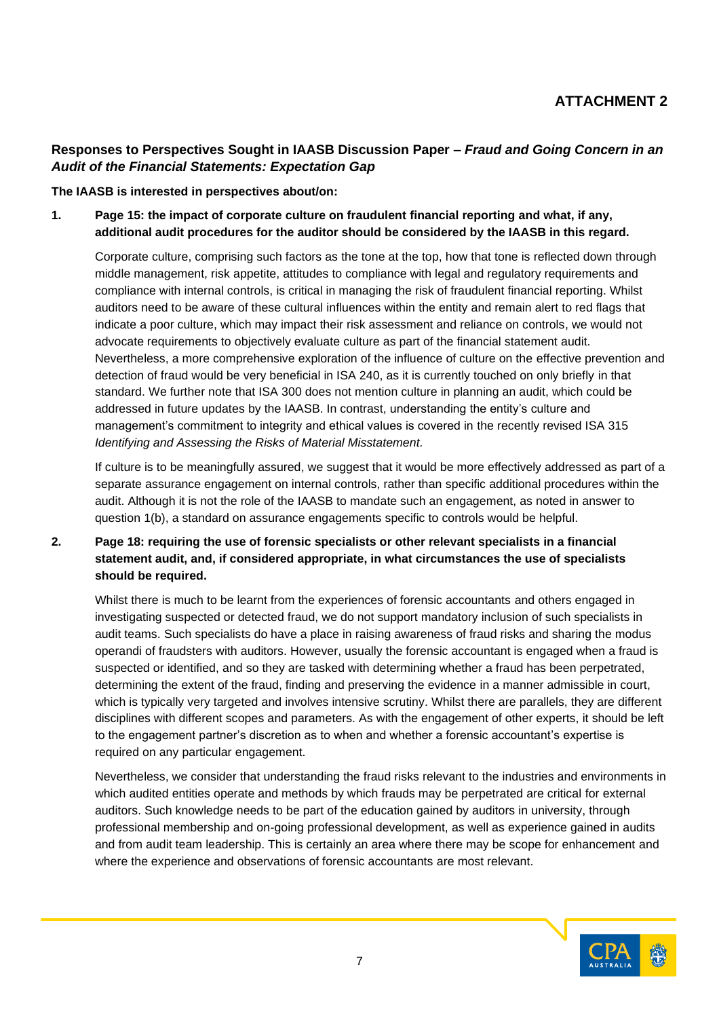# **Responses to Perspectives Sought in IAASB Discussion Paper –** *Fraud and Going Concern in an Audit of the Financial Statements: Expectation Gap*

**The IAASB is interested in perspectives about/on:**

**1. Page 15: the impact of corporate culture on fraudulent financial reporting and what, if any, additional audit procedures for the auditor should be considered by the IAASB in this regard.**

Corporate culture, comprising such factors as the tone at the top, how that tone is reflected down through middle management, risk appetite, attitudes to compliance with legal and regulatory requirements and compliance with internal controls, is critical in managing the risk of fraudulent financial reporting. Whilst auditors need to be aware of these cultural influences within the entity and remain alert to red flags that indicate a poor culture, which may impact their risk assessment and reliance on controls, we would not advocate requirements to objectively evaluate culture as part of the financial statement audit. Nevertheless, a more comprehensive exploration of the influence of culture on the effective prevention and detection of fraud would be very beneficial in ISA 240, as it is currently touched on only briefly in that standard. We further note that ISA 300 does not mention culture in planning an audit, which could be addressed in future updates by the IAASB. In contrast, understanding the entity's culture and management's commitment to integrity and ethical values is covered in the recently revised ISA 315 *Identifying and Assessing the Risks of Material Misstatement.*

If culture is to be meaningfully assured, we suggest that it would be more effectively addressed as part of a separate assurance engagement on internal controls, rather than specific additional procedures within the audit. Although it is not the role of the IAASB to mandate such an engagement, as noted in answer to question 1(b), a standard on assurance engagements specific to controls would be helpful.

## **2. Page 18: requiring the use of forensic specialists or other relevant specialists in a financial statement audit, and, if considered appropriate, in what circumstances the use of specialists should be required.**

Whilst there is much to be learnt from the experiences of forensic accountants and others engaged in investigating suspected or detected fraud, we do not support mandatory inclusion of such specialists in audit teams. Such specialists do have a place in raising awareness of fraud risks and sharing the modus operandi of fraudsters with auditors. However, usually the forensic accountant is engaged when a fraud is suspected or identified, and so they are tasked with determining whether a fraud has been perpetrated, determining the extent of the fraud, finding and preserving the evidence in a manner admissible in court, which is typically very targeted and involves intensive scrutiny. Whilst there are parallels, they are different disciplines with different scopes and parameters. As with the engagement of other experts, it should be left to the engagement partner's discretion as to when and whether a forensic accountant's expertise is required on any particular engagement.

Nevertheless, we consider that understanding the fraud risks relevant to the industries and environments in which audited entities operate and methods by which frauds may be perpetrated are critical for external auditors. Such knowledge needs to be part of the education gained by auditors in university, through professional membership and on-going professional development, as well as experience gained in audits and from audit team leadership. This is certainly an area where there may be scope for enhancement and where the experience and observations of forensic accountants are most relevant.

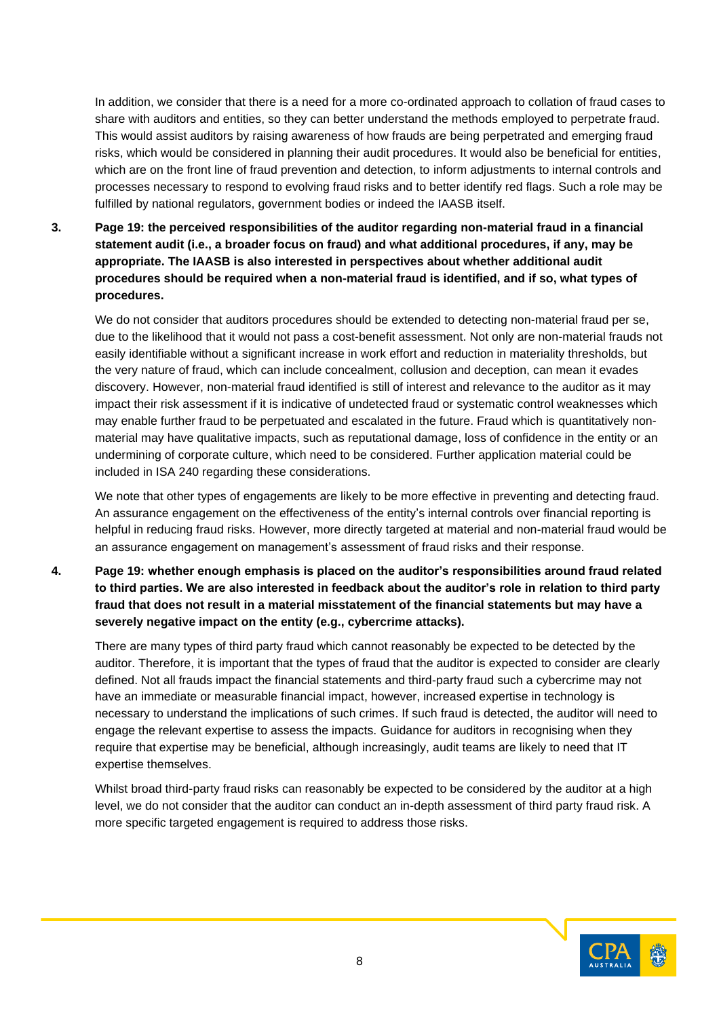In addition, we consider that there is a need for a more co-ordinated approach to collation of fraud cases to share with auditors and entities, so they can better understand the methods employed to perpetrate fraud. This would assist auditors by raising awareness of how frauds are being perpetrated and emerging fraud risks, which would be considered in planning their audit procedures. It would also be beneficial for entities, which are on the front line of fraud prevention and detection, to inform adjustments to internal controls and processes necessary to respond to evolving fraud risks and to better identify red flags. Such a role may be fulfilled by national regulators, government bodies or indeed the IAASB itself.

**3. Page 19: the perceived responsibilities of the auditor regarding non-material fraud in a financial statement audit (i.e., a broader focus on fraud) and what additional procedures, if any, may be appropriate. The IAASB is also interested in perspectives about whether additional audit procedures should be required when a non-material fraud is identified, and if so, what types of procedures.**

We do not consider that auditors procedures should be extended to detecting non-material fraud per se, due to the likelihood that it would not pass a cost-benefit assessment. Not only are non-material frauds not easily identifiable without a significant increase in work effort and reduction in materiality thresholds, but the very nature of fraud, which can include concealment, collusion and deception, can mean it evades discovery. However, non-material fraud identified is still of interest and relevance to the auditor as it may impact their risk assessment if it is indicative of undetected fraud or systematic control weaknesses which may enable further fraud to be perpetuated and escalated in the future. Fraud which is quantitatively nonmaterial may have qualitative impacts, such as reputational damage, loss of confidence in the entity or an undermining of corporate culture, which need to be considered. Further application material could be included in ISA 240 regarding these considerations.

We note that other types of engagements are likely to be more effective in preventing and detecting fraud. An assurance engagement on the effectiveness of the entity's internal controls over financial reporting is helpful in reducing fraud risks. However, more directly targeted at material and non-material fraud would be an assurance engagement on management's assessment of fraud risks and their response.

**4. Page 19: whether enough emphasis is placed on the auditor's responsibilities around fraud related to third parties. We are also interested in feedback about the auditor's role in relation to third party fraud that does not result in a material misstatement of the financial statements but may have a severely negative impact on the entity (e.g., cybercrime attacks).**

There are many types of third party fraud which cannot reasonably be expected to be detected by the auditor. Therefore, it is important that the types of fraud that the auditor is expected to consider are clearly defined. Not all frauds impact the financial statements and third-party fraud such a cybercrime may not have an immediate or measurable financial impact, however, increased expertise in technology is necessary to understand the implications of such crimes. If such fraud is detected, the auditor will need to engage the relevant expertise to assess the impacts. Guidance for auditors in recognising when they require that expertise may be beneficial, although increasingly, audit teams are likely to need that IT expertise themselves.

Whilst broad third-party fraud risks can reasonably be expected to be considered by the auditor at a high level, we do not consider that the auditor can conduct an in-depth assessment of third party fraud risk. A more specific targeted engagement is required to address those risks.

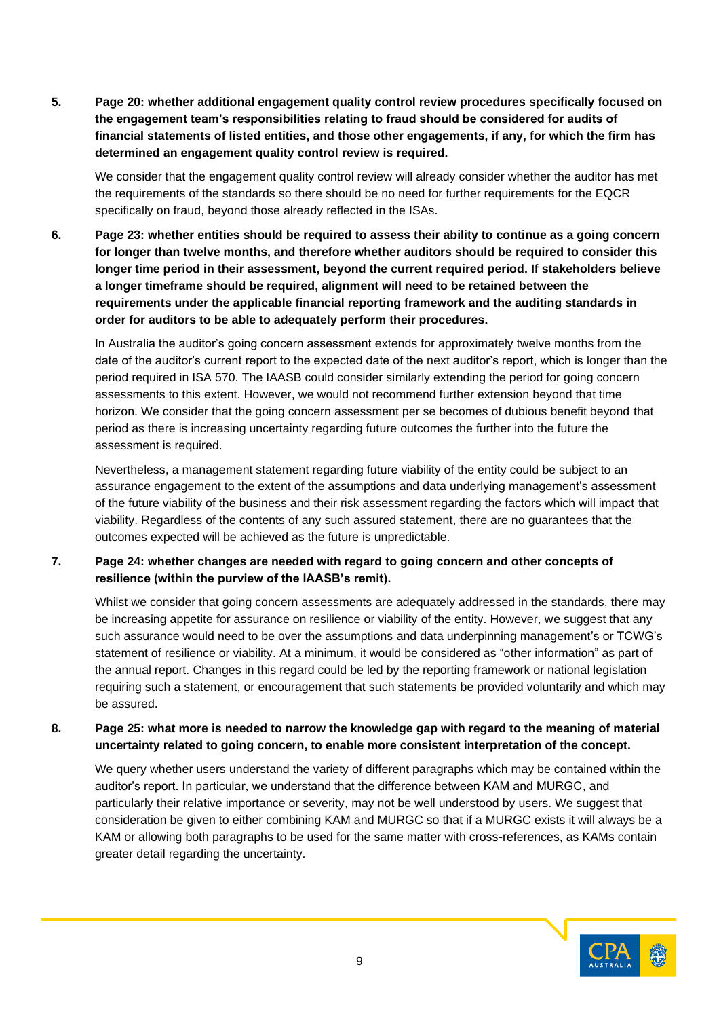**5. Page 20: whether additional engagement quality control review procedures specifically focused on the engagement team's responsibilities relating to fraud should be considered for audits of financial statements of listed entities, and those other engagements, if any, for which the firm has determined an engagement quality control review is required.**

We consider that the engagement quality control review will already consider whether the auditor has met the requirements of the standards so there should be no need for further requirements for the EQCR specifically on fraud, beyond those already reflected in the ISAs.

**6. Page 23: whether entities should be required to assess their ability to continue as a going concern for longer than twelve months, and therefore whether auditors should be required to consider this longer time period in their assessment, beyond the current required period. If stakeholders believe a longer timeframe should be required, alignment will need to be retained between the requirements under the applicable financial reporting framework and the auditing standards in order for auditors to be able to adequately perform their procedures.**

In Australia the auditor's going concern assessment extends for approximately twelve months from the date of the auditor's current report to the expected date of the next auditor's report, which is longer than the period required in ISA 570. The IAASB could consider similarly extending the period for going concern assessments to this extent. However, we would not recommend further extension beyond that time horizon. We consider that the going concern assessment per se becomes of dubious benefit beyond that period as there is increasing uncertainty regarding future outcomes the further into the future the assessment is required.

Nevertheless, a management statement regarding future viability of the entity could be subject to an assurance engagement to the extent of the assumptions and data underlying management's assessment of the future viability of the business and their risk assessment regarding the factors which will impact that viability. Regardless of the contents of any such assured statement, there are no guarantees that the outcomes expected will be achieved as the future is unpredictable.

**7. Page 24: whether changes are needed with regard to going concern and other concepts of resilience (within the purview of the IAASB's remit).**

Whilst we consider that going concern assessments are adequately addressed in the standards, there may be increasing appetite for assurance on resilience or viability of the entity. However, we suggest that any such assurance would need to be over the assumptions and data underpinning management's or TCWG's statement of resilience or viability. At a minimum, it would be considered as "other information" as part of the annual report. Changes in this regard could be led by the reporting framework or national legislation requiring such a statement, or encouragement that such statements be provided voluntarily and which may be assured.

**8. Page 25: what more is needed to narrow the knowledge gap with regard to the meaning of material uncertainty related to going concern, to enable more consistent interpretation of the concept.**

We query whether users understand the variety of different paragraphs which may be contained within the auditor's report. In particular, we understand that the difference between KAM and MURGC, and particularly their relative importance or severity, may not be well understood by users. We suggest that consideration be given to either combining KAM and MURGC so that if a MURGC exists it will always be a KAM or allowing both paragraphs to be used for the same matter with cross-references, as KAMs contain greater detail regarding the uncertainty.